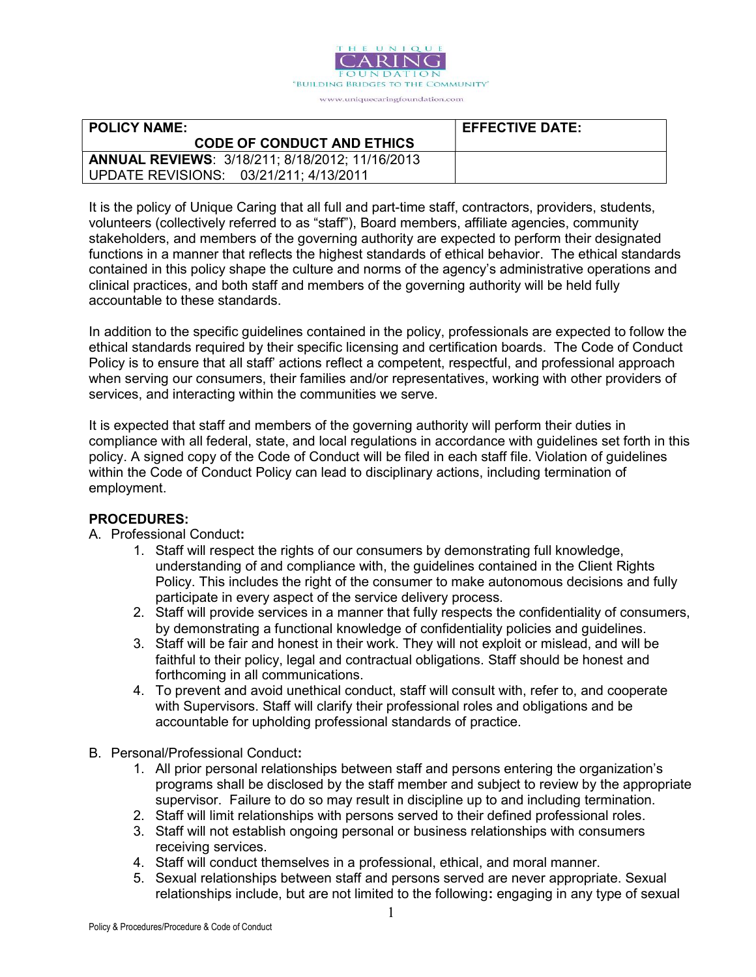

| <b>POLICY NAME:</b>                                    | <b>EFFECTIVE DATE:</b> |
|--------------------------------------------------------|------------------------|
| <b>CODE OF CONDUCT AND ETHICS</b>                      |                        |
| <b>ANNUAL REVIEWS: 3/18/211; 8/18/2012; 11/16/2013</b> |                        |
| UPDATE REVISIONS: 03/21/211; 4/13/2011                 |                        |

It is the policy of Unique Caring that all full and part-time staff, contractors, providers, students, volunteers (collectively referred to as "staff"), Board members, affiliate agencies, community stakeholders, and members of the governing authority are expected to perform their designated functions in a manner that reflects the highest standards of ethical behavior. The ethical standards contained in this policy shape the culture and norms of the agency's administrative operations and clinical practices, and both staff and members of the governing authority will be held fully accountable to these standards.

In addition to the specific guidelines contained in the policy, professionals are expected to follow the ethical standards required by their specific licensing and certification boards. The Code of Conduct Policy is to ensure that all staff' actions reflect a competent, respectful, and professional approach when serving our consumers, their families and/or representatives, working with other providers of services, and interacting within the communities we serve.

It is expected that staff and members of the governing authority will perform their duties in compliance with all federal, state, and local regulations in accordance with guidelines set forth in this policy. A signed copy of the Code of Conduct will be filed in each staff file. Violation of guidelines within the Code of Conduct Policy can lead to disciplinary actions, including termination of employment.

## PROCEDURES:

#### A. Professional Conduct:

- 1. Staff will respect the rights of our consumers by demonstrating full knowledge, understanding of and compliance with, the guidelines contained in the Client Rights Policy. This includes the right of the consumer to make autonomous decisions and fully participate in every aspect of the service delivery process.
- 2. Staff will provide services in a manner that fully respects the confidentiality of consumers, by demonstrating a functional knowledge of confidentiality policies and guidelines.
- 3. Staff will be fair and honest in their work. They will not exploit or mislead, and will be faithful to their policy, legal and contractual obligations. Staff should be honest and forthcoming in all communications.
- 4. To prevent and avoid unethical conduct, staff will consult with, refer to, and cooperate with Supervisors. Staff will clarify their professional roles and obligations and be accountable for upholding professional standards of practice.
- B. Personal/Professional Conduct:
	- 1. All prior personal relationships between staff and persons entering the organization's programs shall be disclosed by the staff member and subject to review by the appropriate supervisor. Failure to do so may result in discipline up to and including termination.
	- 2. Staff will limit relationships with persons served to their defined professional roles.
	- 3. Staff will not establish ongoing personal or business relationships with consumers receiving services.
	- 4. Staff will conduct themselves in a professional, ethical, and moral manner.
	- 5. Sexual relationships between staff and persons served are never appropriate. Sexual relationships include, but are not limited to the following: engaging in any type of sexual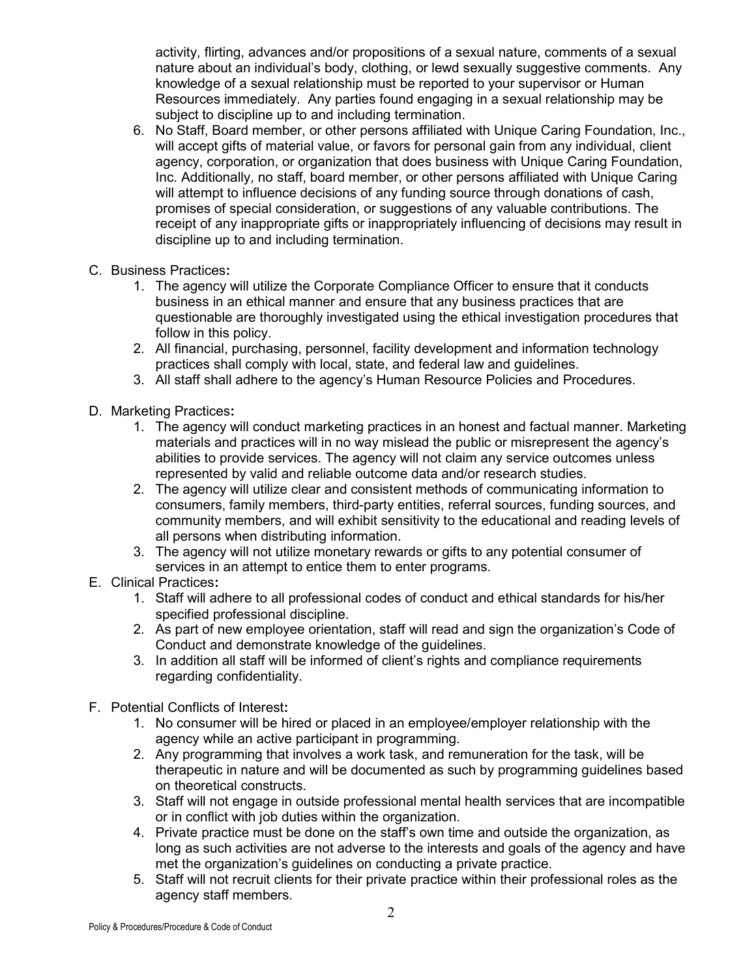activity, flirting, advances and/or propositions of a sexual nature, comments of a sexual nature about an individual's body, clothing, or lewd sexually suggestive comments. Any knowledge of a sexual relationship must be reported to your supervisor or Human Resources immediately. Any parties found engaging in a sexual relationship may be subject to discipline up to and including termination.

- 6. No Staff, Board member, or other persons affiliated with Unique Caring Foundation, Inc., will accept gifts of material value, or favors for personal gain from any individual, client agency, corporation, or organization that does business with Unique Caring Foundation, Inc. Additionally, no staff, board member, or other persons affiliated with Unique Caring will attempt to influence decisions of any funding source through donations of cash, promises of special consideration, or suggestions of any valuable contributions. The receipt of any inappropriate gifts or inappropriately influencing of decisions may result in discipline up to and including termination.
- C. Business Practices:
	- 1. The agency will utilize the Corporate Compliance Officer to ensure that it conducts business in an ethical manner and ensure that any business practices that are questionable are thoroughly investigated using the ethical investigation procedures that follow in this policy.
	- 2. All financial, purchasing, personnel, facility development and information technology practices shall comply with local, state, and federal law and guidelines.
	- 3. All staff shall adhere to the agency's Human Resource Policies and Procedures.
- D. Marketing Practices:
	- 1. The agency will conduct marketing practices in an honest and factual manner. Marketing materials and practices will in no way mislead the public or misrepresent the agency's abilities to provide services. The agency will not claim any service outcomes unless represented by valid and reliable outcome data and/or research studies.
	- 2. The agency will utilize clear and consistent methods of communicating information to consumers, family members, third-party entities, referral sources, funding sources, and community members, and will exhibit sensitivity to the educational and reading levels of all persons when distributing information.
	- 3. The agency will not utilize monetary rewards or gifts to any potential consumer of services in an attempt to entice them to enter programs.
- E. Clinical Practices:
	- 1. Staff will adhere to all professional codes of conduct and ethical standards for his/her specified professional discipline.
	- 2. As part of new employee orientation, staff will read and sign the organization's Code of Conduct and demonstrate knowledge of the guidelines.
	- 3. In addition all staff will be informed of client's rights and compliance requirements regarding confidentiality.
- F. Potential Conflicts of Interest:
	- 1. No consumer will be hired or placed in an employee/employer relationship with the agency while an active participant in programming.
	- 2. Any programming that involves a work task, and remuneration for the task, will be therapeutic in nature and will be documented as such by programming guidelines based on theoretical constructs.
	- 3. Staff will not engage in outside professional mental health services that are incompatible or in conflict with job duties within the organization.
	- 4. Private practice must be done on the staff's own time and outside the organization, as long as such activities are not adverse to the interests and goals of the agency and have met the organization's guidelines on conducting a private practice.
	- 5. Staff will not recruit clients for their private practice within their professional roles as the agency staff members.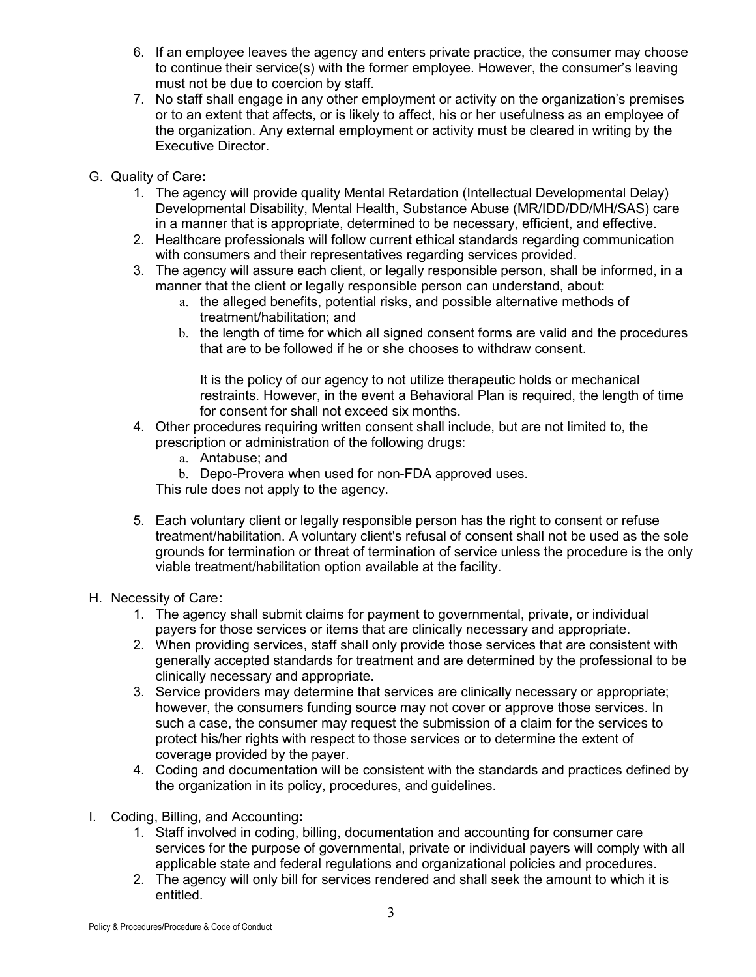- 6. If an employee leaves the agency and enters private practice, the consumer may choose to continue their service(s) with the former employee. However, the consumer's leaving must not be due to coercion by staff.
- 7. No staff shall engage in any other employment or activity on the organization's premises or to an extent that affects, or is likely to affect, his or her usefulness as an employee of the organization. Any external employment or activity must be cleared in writing by the Executive Director.
- G. Quality of Care:
	- 1. The agency will provide quality Mental Retardation (Intellectual Developmental Delay) Developmental Disability, Mental Health, Substance Abuse (MR/IDD/DD/MH/SAS) care in a manner that is appropriate, determined to be necessary, efficient, and effective.
	- 2. Healthcare professionals will follow current ethical standards regarding communication with consumers and their representatives regarding services provided.
	- 3. The agency will assure each client, or legally responsible person, shall be informed, in a manner that the client or legally responsible person can understand, about:
		- a. the alleged benefits, potential risks, and possible alternative methods of treatment/habilitation; and
		- b. the length of time for which all signed consent forms are valid and the procedures that are to be followed if he or she chooses to withdraw consent.

It is the policy of our agency to not utilize therapeutic holds or mechanical restraints. However, in the event a Behavioral Plan is required, the length of time for consent for shall not exceed six months.

- 4. Other procedures requiring written consent shall include, but are not limited to, the prescription or administration of the following drugs:
	- a. Antabuse; and
	- b. Depo-Provera when used for non-FDA approved uses.

This rule does not apply to the agency.

5. Each voluntary client or legally responsible person has the right to consent or refuse treatment/habilitation. A voluntary client's refusal of consent shall not be used as the sole grounds for termination or threat of termination of service unless the procedure is the only viable treatment/habilitation option available at the facility.

## H. Necessity of Care:

- 1. The agency shall submit claims for payment to governmental, private, or individual payers for those services or items that are clinically necessary and appropriate.
- 2. When providing services, staff shall only provide those services that are consistent with generally accepted standards for treatment and are determined by the professional to be clinically necessary and appropriate.
- 3. Service providers may determine that services are clinically necessary or appropriate; however, the consumers funding source may not cover or approve those services. In such a case, the consumer may request the submission of a claim for the services to protect his/her rights with respect to those services or to determine the extent of coverage provided by the payer.
- 4. Coding and documentation will be consistent with the standards and practices defined by the organization in its policy, procedures, and guidelines.
- I. Coding, Billing, and Accounting:
	- 1. Staff involved in coding, billing, documentation and accounting for consumer care services for the purpose of governmental, private or individual payers will comply with all applicable state and federal regulations and organizational policies and procedures.
	- 2. The agency will only bill for services rendered and shall seek the amount to which it is entitled.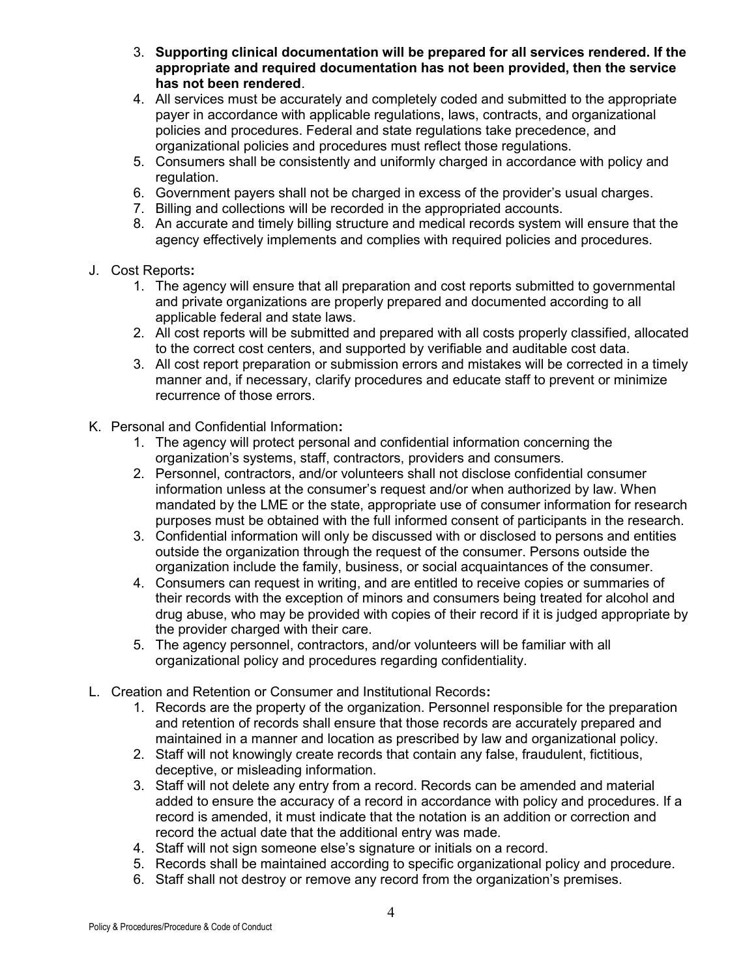- 3. Supporting clinical documentation will be prepared for all services rendered. If the appropriate and required documentation has not been provided, then the service has not been rendered.
- 4. All services must be accurately and completely coded and submitted to the appropriate payer in accordance with applicable regulations, laws, contracts, and organizational policies and procedures. Federal and state regulations take precedence, and organizational policies and procedures must reflect those regulations.
- 5. Consumers shall be consistently and uniformly charged in accordance with policy and regulation.
- 6. Government payers shall not be charged in excess of the provider's usual charges.
- 7. Billing and collections will be recorded in the appropriated accounts.
- 8. An accurate and timely billing structure and medical records system will ensure that the agency effectively implements and complies with required policies and procedures.

#### J. Cost Reports:

- 1. The agency will ensure that all preparation and cost reports submitted to governmental and private organizations are properly prepared and documented according to all applicable federal and state laws.
- 2. All cost reports will be submitted and prepared with all costs properly classified, allocated to the correct cost centers, and supported by verifiable and auditable cost data.
- 3. All cost report preparation or submission errors and mistakes will be corrected in a timely manner and, if necessary, clarify procedures and educate staff to prevent or minimize recurrence of those errors.
- K. Personal and Confidential Information:
	- 1. The agency will protect personal and confidential information concerning the organization's systems, staff, contractors, providers and consumers.
	- 2. Personnel, contractors, and/or volunteers shall not disclose confidential consumer information unless at the consumer's request and/or when authorized by law. When mandated by the LME or the state, appropriate use of consumer information for research purposes must be obtained with the full informed consent of participants in the research.
	- 3. Confidential information will only be discussed with or disclosed to persons and entities outside the organization through the request of the consumer. Persons outside the organization include the family, business, or social acquaintances of the consumer.
	- 4. Consumers can request in writing, and are entitled to receive copies or summaries of their records with the exception of minors and consumers being treated for alcohol and drug abuse, who may be provided with copies of their record if it is judged appropriate by the provider charged with their care.
	- 5. The agency personnel, contractors, and/or volunteers will be familiar with all organizational policy and procedures regarding confidentiality.
- L. Creation and Retention or Consumer and Institutional Records:
	- 1. Records are the property of the organization. Personnel responsible for the preparation and retention of records shall ensure that those records are accurately prepared and maintained in a manner and location as prescribed by law and organizational policy.
	- 2. Staff will not knowingly create records that contain any false, fraudulent, fictitious, deceptive, or misleading information.
	- 3. Staff will not delete any entry from a record. Records can be amended and material added to ensure the accuracy of a record in accordance with policy and procedures. If a record is amended, it must indicate that the notation is an addition or correction and record the actual date that the additional entry was made.
	- 4. Staff will not sign someone else's signature or initials on a record.
	- 5. Records shall be maintained according to specific organizational policy and procedure.
	- 6. Staff shall not destroy or remove any record from the organization's premises.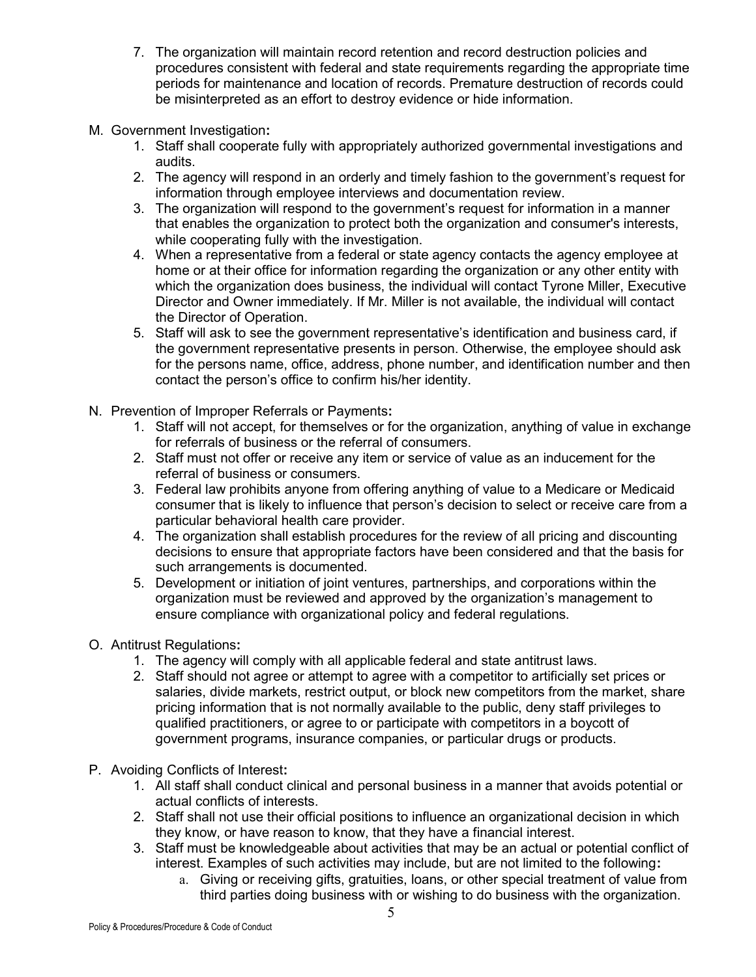- 7. The organization will maintain record retention and record destruction policies and procedures consistent with federal and state requirements regarding the appropriate time periods for maintenance and location of records. Premature destruction of records could be misinterpreted as an effort to destroy evidence or hide information.
- M. Government Investigation:
	- 1. Staff shall cooperate fully with appropriately authorized governmental investigations and audits.
	- 2. The agency will respond in an orderly and timely fashion to the government's request for information through employee interviews and documentation review.
	- 3. The organization will respond to the government's request for information in a manner that enables the organization to protect both the organization and consumer's interests, while cooperating fully with the investigation.
	- 4. When a representative from a federal or state agency contacts the agency employee at home or at their office for information regarding the organization or any other entity with which the organization does business, the individual will contact Tyrone Miller, Executive Director and Owner immediately. If Mr. Miller is not available, the individual will contact the Director of Operation.
	- 5. Staff will ask to see the government representative's identification and business card, if the government representative presents in person. Otherwise, the employee should ask for the persons name, office, address, phone number, and identification number and then contact the person's office to confirm his/her identity.
- N. Prevention of Improper Referrals or Payments:
	- 1. Staff will not accept, for themselves or for the organization, anything of value in exchange for referrals of business or the referral of consumers.
	- 2. Staff must not offer or receive any item or service of value as an inducement for the referral of business or consumers.
	- 3. Federal law prohibits anyone from offering anything of value to a Medicare or Medicaid consumer that is likely to influence that person's decision to select or receive care from a particular behavioral health care provider.
	- 4. The organization shall establish procedures for the review of all pricing and discounting decisions to ensure that appropriate factors have been considered and that the basis for such arrangements is documented.
	- 5. Development or initiation of joint ventures, partnerships, and corporations within the organization must be reviewed and approved by the organization's management to ensure compliance with organizational policy and federal regulations.
- O. Antitrust Regulations:
	- 1. The agency will comply with all applicable federal and state antitrust laws.
	- 2. Staff should not agree or attempt to agree with a competitor to artificially set prices or salaries, divide markets, restrict output, or block new competitors from the market, share pricing information that is not normally available to the public, deny staff privileges to qualified practitioners, or agree to or participate with competitors in a boycott of government programs, insurance companies, or particular drugs or products.
- P. Avoiding Conflicts of Interest:
	- 1. All staff shall conduct clinical and personal business in a manner that avoids potential or actual conflicts of interests.
	- 2. Staff shall not use their official positions to influence an organizational decision in which they know, or have reason to know, that they have a financial interest.
	- 3. Staff must be knowledgeable about activities that may be an actual or potential conflict of interest. Examples of such activities may include, but are not limited to the following:
		- a. Giving or receiving gifts, gratuities, loans, or other special treatment of value from third parties doing business with or wishing to do business with the organization.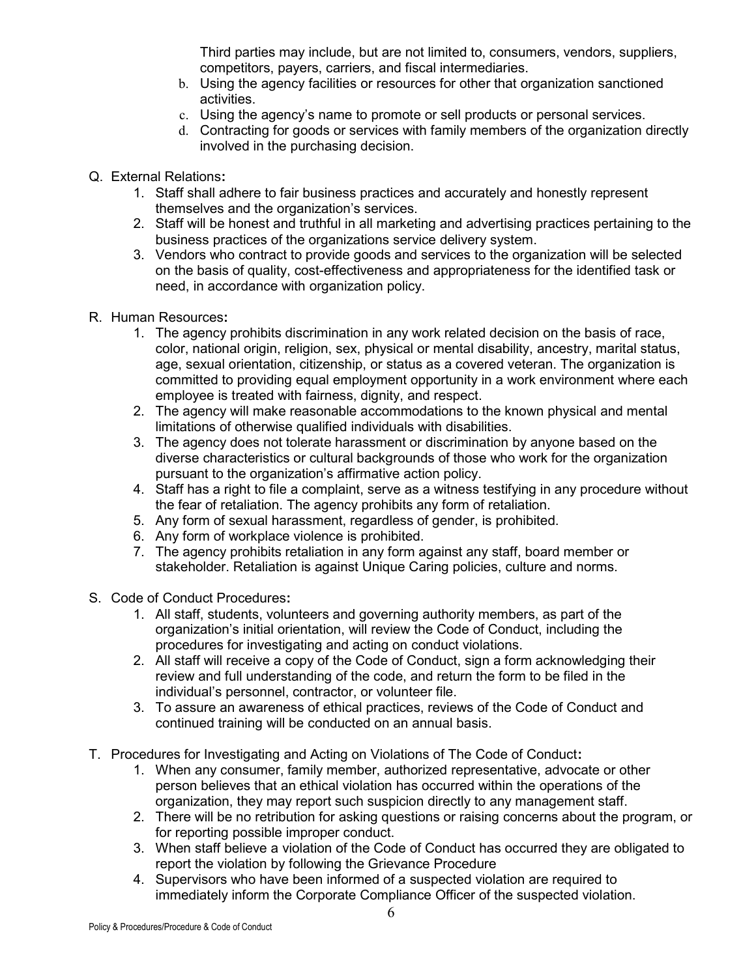Third parties may include, but are not limited to, consumers, vendors, suppliers, competitors, payers, carriers, and fiscal intermediaries.

- b. Using the agency facilities or resources for other that organization sanctioned activities.
- c. Using the agency's name to promote or sell products or personal services.
- d. Contracting for goods or services with family members of the organization directly involved in the purchasing decision.
- Q. External Relations:
	- 1. Staff shall adhere to fair business practices and accurately and honestly represent themselves and the organization's services.
	- 2. Staff will be honest and truthful in all marketing and advertising practices pertaining to the business practices of the organizations service delivery system.
	- 3. Vendors who contract to provide goods and services to the organization will be selected on the basis of quality, cost-effectiveness and appropriateness for the identified task or need, in accordance with organization policy.
- R. Human Resources:
	- 1. The agency prohibits discrimination in any work related decision on the basis of race, color, national origin, religion, sex, physical or mental disability, ancestry, marital status, age, sexual orientation, citizenship, or status as a covered veteran. The organization is committed to providing equal employment opportunity in a work environment where each employee is treated with fairness, dignity, and respect.
	- 2. The agency will make reasonable accommodations to the known physical and mental limitations of otherwise qualified individuals with disabilities.
	- 3. The agency does not tolerate harassment or discrimination by anyone based on the diverse characteristics or cultural backgrounds of those who work for the organization pursuant to the organization's affirmative action policy.
	- 4. Staff has a right to file a complaint, serve as a witness testifying in any procedure without the fear of retaliation. The agency prohibits any form of retaliation.
	- 5. Any form of sexual harassment, regardless of gender, is prohibited.
	- 6. Any form of workplace violence is prohibited.
	- 7. The agency prohibits retaliation in any form against any staff, board member or stakeholder. Retaliation is against Unique Caring policies, culture and norms.
- S. Code of Conduct Procedures:
	- 1. All staff, students, volunteers and governing authority members, as part of the organization's initial orientation, will review the Code of Conduct, including the procedures for investigating and acting on conduct violations.
	- 2. All staff will receive a copy of the Code of Conduct, sign a form acknowledging their review and full understanding of the code, and return the form to be filed in the individual's personnel, contractor, or volunteer file.
	- 3. To assure an awareness of ethical practices, reviews of the Code of Conduct and continued training will be conducted on an annual basis.
- T. Procedures for Investigating and Acting on Violations of The Code of Conduct:
	- 1. When any consumer, family member, authorized representative, advocate or other person believes that an ethical violation has occurred within the operations of the organization, they may report such suspicion directly to any management staff.
	- 2. There will be no retribution for asking questions or raising concerns about the program, or for reporting possible improper conduct.
	- 3. When staff believe a violation of the Code of Conduct has occurred they are obligated to report the violation by following the Grievance Procedure
	- 4. Supervisors who have been informed of a suspected violation are required to immediately inform the Corporate Compliance Officer of the suspected violation.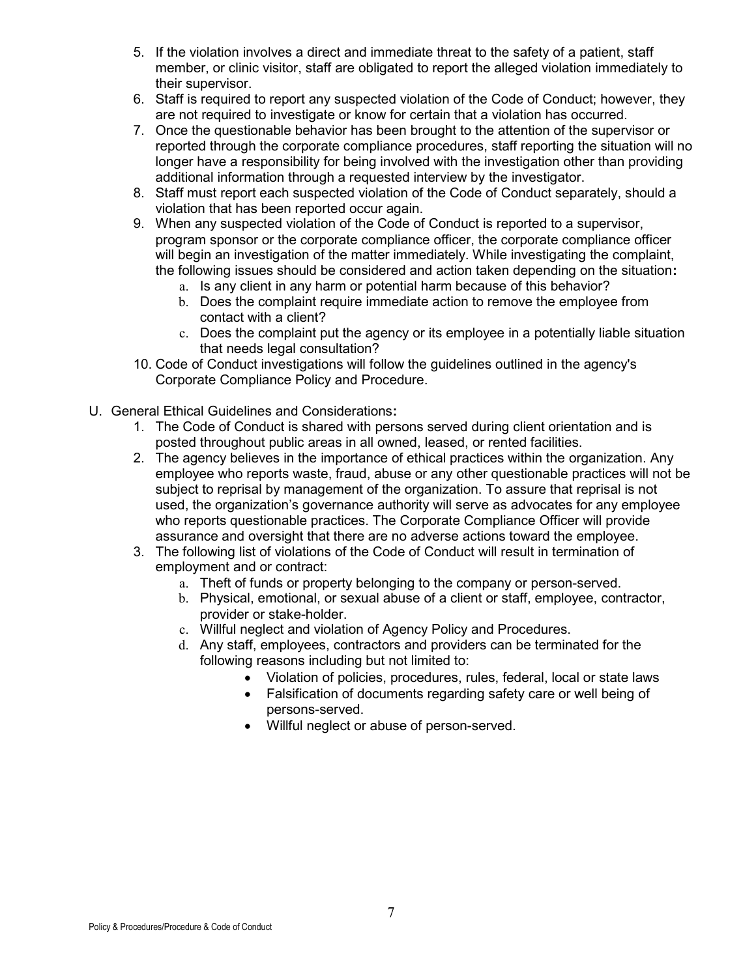- 5. If the violation involves a direct and immediate threat to the safety of a patient, staff member, or clinic visitor, staff are obligated to report the alleged violation immediately to their supervisor.
- 6. Staff is required to report any suspected violation of the Code of Conduct; however, they are not required to investigate or know for certain that a violation has occurred.
- 7. Once the questionable behavior has been brought to the attention of the supervisor or reported through the corporate compliance procedures, staff reporting the situation will no longer have a responsibility for being involved with the investigation other than providing additional information through a requested interview by the investigator.
- 8. Staff must report each suspected violation of the Code of Conduct separately, should a violation that has been reported occur again.
- 9. When any suspected violation of the Code of Conduct is reported to a supervisor, program sponsor or the corporate compliance officer, the corporate compliance officer will begin an investigation of the matter immediately. While investigating the complaint, the following issues should be considered and action taken depending on the situation:
	- a. Is any client in any harm or potential harm because of this behavior?
	- b. Does the complaint require immediate action to remove the employee from contact with a client?
	- c. Does the complaint put the agency or its employee in a potentially liable situation that needs legal consultation?
- 10. Code of Conduct investigations will follow the guidelines outlined in the agency's Corporate Compliance Policy and Procedure.
- U. General Ethical Guidelines and Considerations:
	- 1. The Code of Conduct is shared with persons served during client orientation and is posted throughout public areas in all owned, leased, or rented facilities.
	- 2. The agency believes in the importance of ethical practices within the organization. Any employee who reports waste, fraud, abuse or any other questionable practices will not be subject to reprisal by management of the organization. To assure that reprisal is not used, the organization's governance authority will serve as advocates for any employee who reports questionable practices. The Corporate Compliance Officer will provide assurance and oversight that there are no adverse actions toward the employee.
	- 3. The following list of violations of the Code of Conduct will result in termination of employment and or contract:
		- a. Theft of funds or property belonging to the company or person-served.
		- b. Physical, emotional, or sexual abuse of a client or staff, employee, contractor, provider or stake-holder.
		- c. Willful neglect and violation of Agency Policy and Procedures.
		- d. Any staff, employees, contractors and providers can be terminated for the following reasons including but not limited to:
			- Violation of policies, procedures, rules, federal, local or state laws
			- Falsification of documents regarding safety care or well being of persons-served.
			- Willful neglect or abuse of person-served.